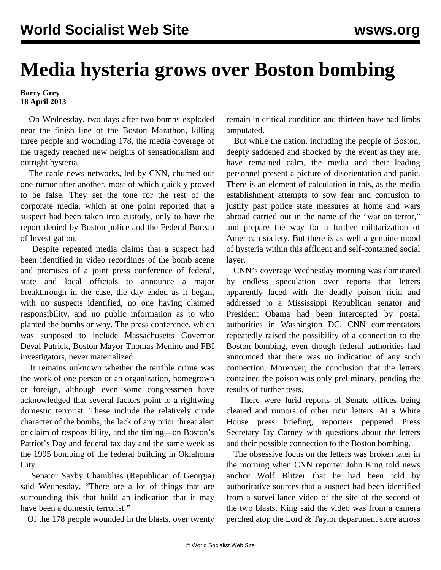## **Media hysteria grows over Boston bombing**

## **Barry Grey 18 April 2013**

 On Wednesday, two days after two bombs exploded near the finish line of the Boston Marathon, killing three people and wounding 178, the media coverage of the tragedy reached new heights of sensationalism and outright hysteria.

 The cable news networks, led by CNN, churned out one rumor after another, most of which quickly proved to be false. They set the tone for the rest of the corporate media, which at one point reported that a suspect had been taken into custody, only to have the report denied by Boston police and the Federal Bureau of Investigation.

 Despite repeated media claims that a suspect had been identified in video recordings of the bomb scene and promises of a joint press conference of federal, state and local officials to announce a major breakthrough in the case, the day ended as it began, with no suspects identified, no one having claimed responsibility, and no public information as to who planted the bombs or why. The press conference, which was supposed to include Massachusetts Governor Deval Patrick, Boston Mayor Thomas Menino and FBI investigators, never materialized.

 It remains unknown whether the terrible crime was the work of one person or an organization, homegrown or foreign, although even some congressmen have acknowledged that several factors point to a rightwing domestic terrorist. These include the relatively crude character of the bombs, the lack of any prior threat alert or claim of responsibility, and the timing—on Boston's Patriot's Day and federal tax day and the same week as the 1995 bombing of the federal building in Oklahoma City.

 Senator Saxby Chambliss (Republican of Georgia) said Wednesday, "There are a lot of things that are surrounding this that build an indication that it may have been a domestic terrorist."

Of the 178 people wounded in the blasts, over twenty

remain in critical condition and thirteen have had limbs amputated.

 But while the nation, including the people of Boston, deeply saddened and shocked by the event as they are, have remained calm, the media and their leading personnel present a picture of disorientation and panic. There is an element of calculation in this, as the media establishment attempts to sow fear and confusion to justify past police state measures at home and wars abroad carried out in the name of the "war on terror," and prepare the way for a further militarization of American society. But there is as well a genuine mood of hysteria within this affluent and self-contained social layer.

 CNN's coverage Wednesday morning was dominated by endless speculation over reports that letters apparently laced with the deadly poison ricin and addressed to a Mississippi Republican senator and President Obama had been intercepted by postal authorities in Washington DC. CNN commentators repeatedly raised the possibility of a connection to the Boston bombing, even though federal authorities had announced that there was no indication of any such connection. Moreover, the conclusion that the letters contained the poison was only preliminary, pending the results of further tests.

 There were lurid reports of Senate offices being cleared and rumors of other ricin letters. At a White House press briefing, reporters peppered Press Secretary Jay Carney with questions about the letters and their possible connection to the Boston bombing.

 The obsessive focus on the letters was broken later in the morning when CNN reporter John King told news anchor Wolf Blitzer that he had been told by authoritative sources that a suspect had been identified from a surveillance video of the site of the second of the two blasts. King said the video was from a camera perched atop the Lord & Taylor department store across